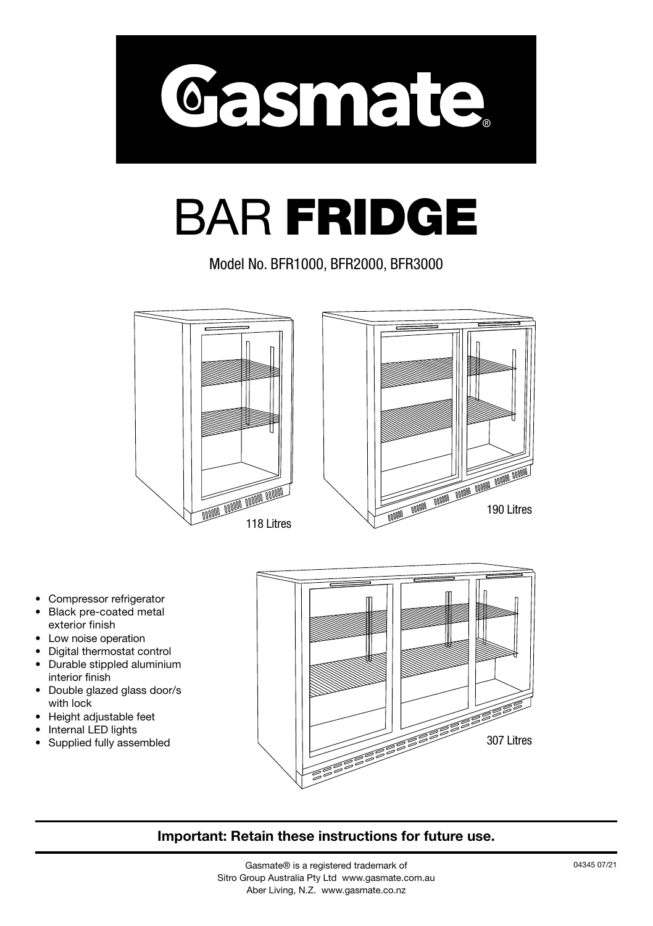

# BAR FRIDGE

Model No. BFR1000, BFR2000, BFR3000



- Compressor refrigerator
- Black pre-coated metal exterior finish
- Low noise operation
- Digital thermostat control
- Durable stippled aluminium interior finish
- Double glazed glass door/s with lock
- Height adjustable feet
- Internal LED lights
- Supplied fully assembled



#### **Important: Retain these instructions for future use.**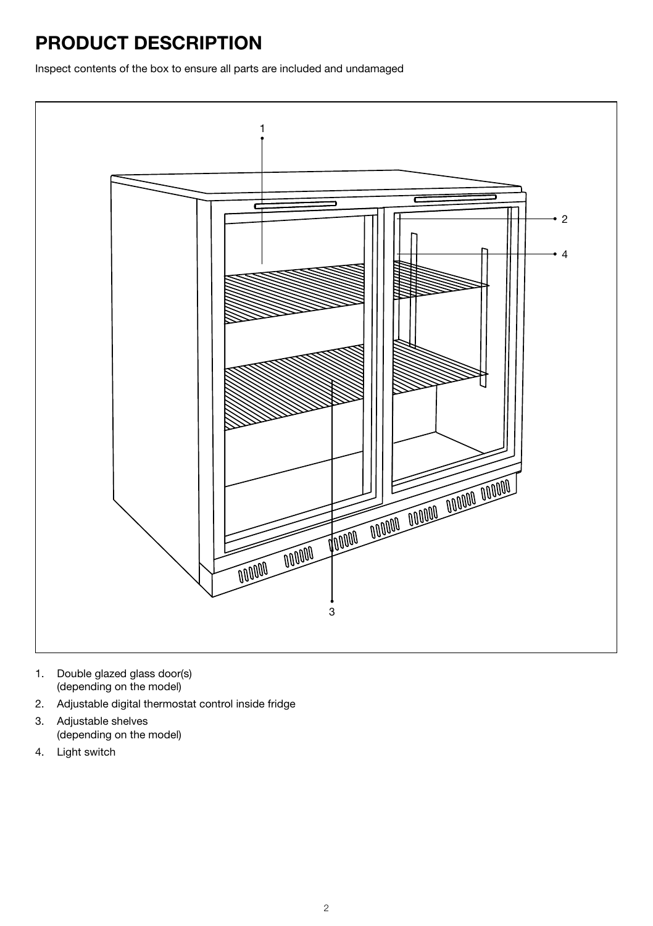### **PRODUCT DESCRIPTION**

Inspect contents of the box to ensure all parts are included and undamaged



- 1. Double glazed glass door(s) (depending on the model)
- 2. Adjustable digital thermostat control inside fridge
- 3. Adjustable shelves (depending on the model)
- 4. Light switch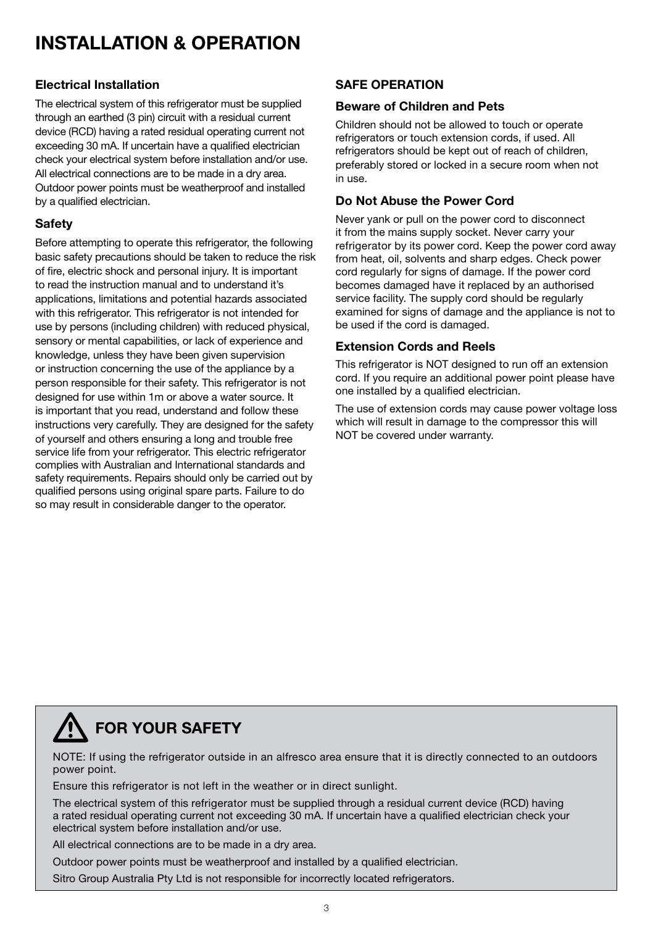### **INSTALLATION & OPERATION**

#### **Electrical Installation**

The electrical system of this refrigerator must be supplied through an earthed (3 pin) circuit with a residual current device (RCD) having a rated residual operating current not exceeding 30 mA. If uncertain have a qualified electrician check your electrical system before installation and/or use. All electrical connections are to be made in a dry area. Outdoor power points must be weatherproof and installed by a qualified electrician.

#### **Safety**

Before attempting to operate this refrigerator, the following basic safety precautions should be taken to reduce the risk of fire, electric shock and personal injury. It is important to read the instruction manual and to understand it's applications, limitations and potential hazards associated with this refrigerator. This refrigerator is not intended for use by persons (including children) with reduced physical, sensory or mental capabilities, or lack of experience and knowledge, unless they have been given supervision or instruction concerning the use of the appliance by a person responsible for their safety. This refrigerator is not designed for use within 1m or above a water source. It is important that you read, understand and follow these instructions very carefully. They are designed for the safety of yourself and others ensuring a long and trouble free service life from your refrigerator. This electric refrigerator complies with Australian and International standards and safety requirements. Repairs should only be carried out by qualified persons using original spare parts. Failure to do so may result in considerable danger to the operator.

#### **SAFE OPERATION**

#### **Beware of Children and Pets**

Children should not be allowed to touch or operate refrigerators or touch extension cords, if used. All refrigerators should be kept out of reach of children. preferably stored or locked in a secure room when not in use.

#### **Do Not Abuse the Power Cord**

Never yank or pull on the power cord to disconnect it from the mains supply socket. Never carry your refrigerator by its power cord. Keep the power cord away from heat, oil, solvents and sharp edges. Check power cord regularly for signs of damage. If the power cord becomes damaged have it replaced by an authorised service facility. The supply cord should be regularly examined for signs of damage and the appliance is not to be used if the cord is damaged.

#### **Extension Cords and Reels**

This refrigerator is NOT designed to run off an extension cord. If you require an additional power point please have one installed by a qualified electrician.

The use of extension cords may cause power voltage loss which will result in damage to the compressor this will NOT be covered under warranty.

### **FOR YOUR SAFETY**

NOTE: If using the refrigerator outside in an alfresco area ensure that it is directly connected to an outdoors power point.

Ensure this refrigerator is not left in the weather or in direct sunlight.

The electrical system of this refrigerator must be supplied through a residual current device (RCD) having a rated residual operating current not exceeding 30 mA. If uncertain have a qualified electrician check your electrical system before installation and/or use.

All electrical connections are to be made in a dry area.

Outdoor power points must be weatherproof and installed by a qualified electrician. Sitro Group Australia Pty Ltd is not responsible for incorrectly located refrigerators.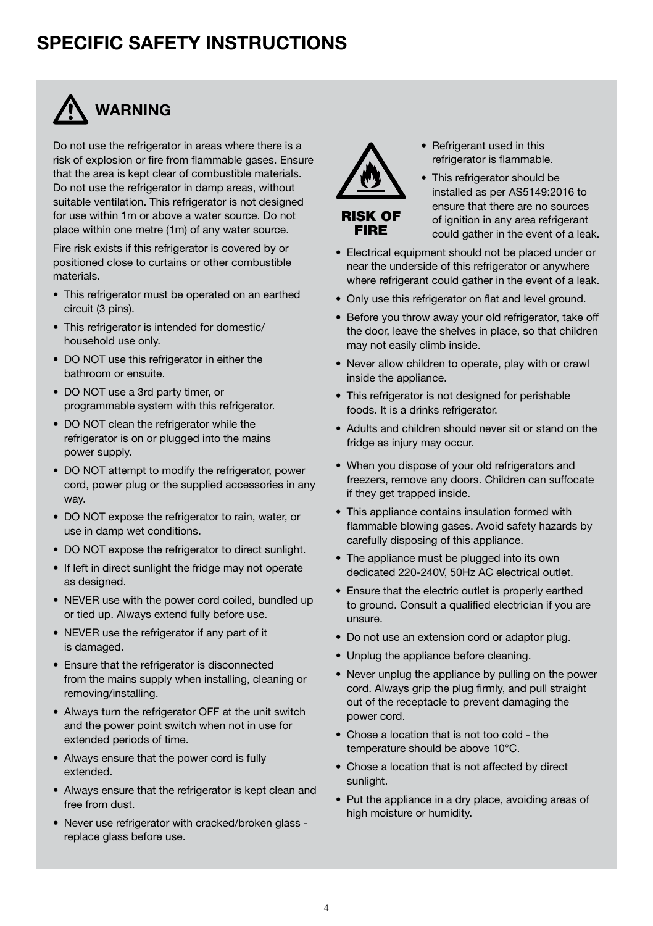### **SPECIFIC SAFETY INSTRUCTIONS**



Do not use the refrigerator in areas where there is a risk of explosion or fire from flammable gases. Ensure that the area is kept clear of combustible materials. Do not use the refrigerator in damp areas, without suitable ventilation. This refrigerator is not designed for use within 1m or above a water source. Do not place within one metre (1m) of any water source.

Fire risk exists if this refrigerator is covered by or positioned close to curtains or other combustible materials.

- This refrigerator must be operated on an earthed circuit (3 pins).
- This refrigerator is intended for domestic/ household use only.
- DO NOT use this refrigerator in either the bathroom or ensuite.
- DO NOT use a 3rd party timer, or programmable system with this refrigerator.
- DO NOT clean the refrigerator while the refrigerator is on or plugged into the mains power supply.
- DO NOT attempt to modify the refrigerator, power cord, power plug or the supplied accessories in any way.
- DO NOT expose the refrigerator to rain, water, or use in damp wet conditions.
- DO NOT expose the refrigerator to direct sunlight.
- If left in direct sunlight the fridge may not operate as designed.
- NEVER use with the power cord coiled, bundled up or tied up. Always extend fully before use.
- NEVER use the refrigerator if any part of it is damaged.
- Ensure that the refrigerator is disconnected from the mains supply when installing, cleaning or removing/installing.
- Always turn the refrigerator OFF at the unit switch and the power point switch when not in use for extended periods of time.
- Always ensure that the power cord is fully extended.
- Always ensure that the refrigerator is kept clean and free from dust.
- Never use refrigerator with cracked/broken glass replace glass before use.



- Refrigerant used in this refrigerator is flammable.
- RISK OF FIRE
- This refrigerator should be installed as per AS5149:2016 to ensure that there are no sources of ignition in any area refrigerant could gather in the event of a leak.
- Electrical equipment should not be placed under or near the underside of this refrigerator or anywhere where refrigerant could gather in the event of a leak.
- Only use this refrigerator on flat and level ground.
- Before you throw away your old refrigerator, take off the door, leave the shelves in place, so that children may not easily climb inside.
- Never allow children to operate, play with or crawl inside the appliance.
- This refrigerator is not designed for perishable foods. It is a drinks refrigerator.
- Adults and children should never sit or stand on the fridge as injury may occur.
- When you dispose of your old refrigerators and freezers, remove any doors. Children can suffocate if they get trapped inside.
- This appliance contains insulation formed with flammable blowing gases. Avoid safety hazards by carefully disposing of this appliance.
- The appliance must be plugged into its own dedicated 220-240V, 50Hz AC electrical outlet.
- Ensure that the electric outlet is properly earthed to ground. Consult a qualified electrician if you are unsure.
- Do not use an extension cord or adaptor plug.
- Unplug the appliance before cleaning.
- Never unplug the appliance by pulling on the power cord. Always grip the plug firmly, and pull straight out of the receptacle to prevent damaging the power cord.
- Chose a location that is not too cold the temperature should be above 10°C.
- Chose a location that is not affected by direct sunlight.
- Put the appliance in a dry place, avoiding areas of high moisture or humidity.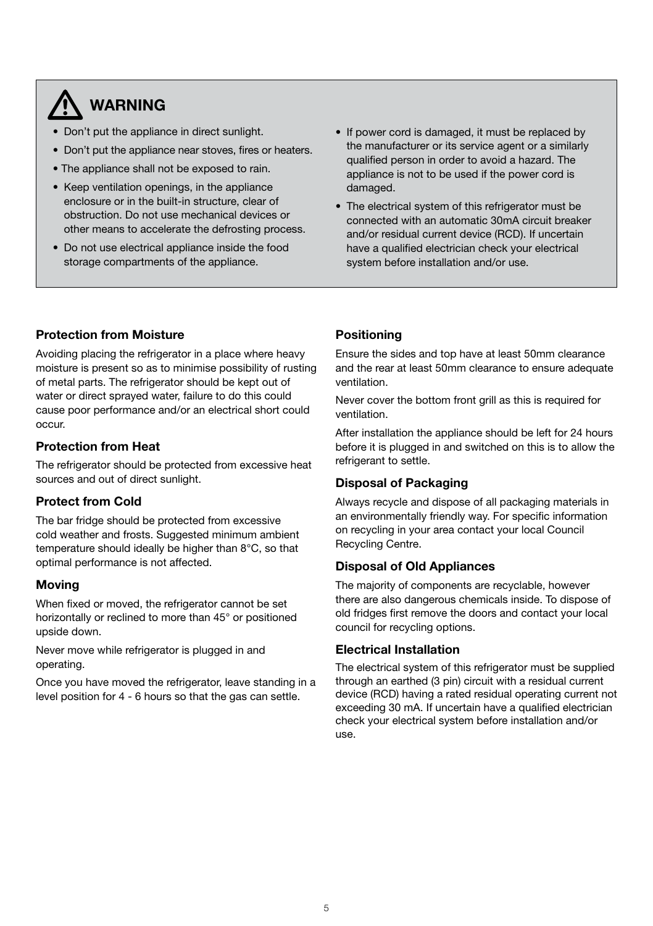### **WARNING**

- Don't put the appliance in direct sunlight.
- Don't put the appliance near stoves, fires or heaters.
- The appliance shall not be exposed to rain.
- Keep ventilation openings, in the appliance enclosure or in the built-in structure, clear of obstruction. Do not use mechanical devices or other means to accelerate the defrosting process.
- Do not use electrical appliance inside the food storage compartments of the appliance.
- If power cord is damaged, it must be replaced by the manufacturer or its service agent or a similarly qualified person in order to avoid a hazard. The appliance is not to be used if the power cord is damaged.
- The electrical system of this refrigerator must be connected with an automatic 30mA circuit breaker and/or residual current device (RCD). If uncertain have a qualified electrician check your electrical system before installation and/or use.

#### **Protection from Moisture**

Avoiding placing the refrigerator in a place where heavy moisture is present so as to minimise possibility of rusting of metal parts. The refrigerator should be kept out of water or direct sprayed water, failure to do this could cause poor performance and/or an electrical short could occur.

#### **Protection from Heat**

The refrigerator should be protected from excessive heat sources and out of direct sunlight.

#### **Protect from Cold**

The bar fridge should be protected from excessive cold weather and frosts. Suggested minimum ambient temperature should ideally be higher than 8°C, so that optimal performance is not affected.

#### **Moving**

When fixed or moved, the refrigerator cannot be set horizontally or reclined to more than 45° or positioned upside down.

Never move while refrigerator is plugged in and operating.

Once you have moved the refrigerator, leave standing in a level position for 4 - 6 hours so that the gas can settle.

#### **Positioning**

Ensure the sides and top have at least 50mm clearance and the rear at least 50mm clearance to ensure adequate ventilation.

Never cover the bottom front grill as this is required for ventilation.

After installation the appliance should be left for 24 hours before it is plugged in and switched on this is to allow the refrigerant to settle.

#### **Disposal of Packaging**

Always recycle and dispose of all packaging materials in an environmentally friendly way. For specific information on recycling in your area contact your local Council Recycling Centre.

#### **Disposal of Old Appliances**

The majority of components are recyclable, however there are also dangerous chemicals inside. To dispose of old fridges first remove the doors and contact your local council for recycling options.

#### **Electrical Installation**

The electrical system of this refrigerator must be supplied through an earthed (3 pin) circuit with a residual current device (RCD) having a rated residual operating current not exceeding 30 mA. If uncertain have a qualified electrician check your electrical system before installation and/or use.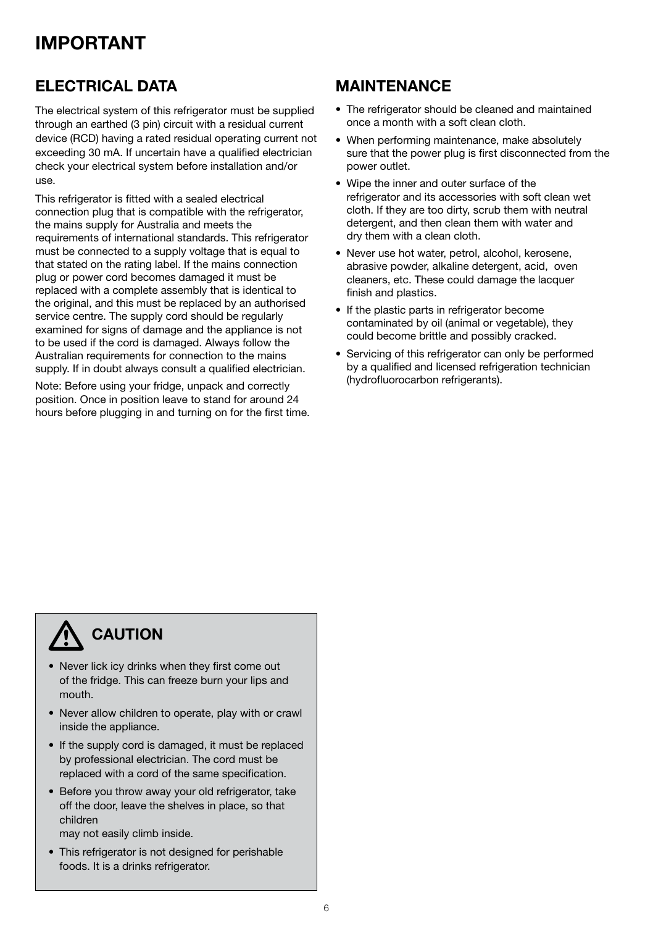### **IMPORTANT**

### **ELECTRICAL DATA**

The electrical system of this refrigerator must be supplied through an earthed (3 pin) circuit with a residual current device (RCD) having a rated residual operating current not exceeding 30 mA. If uncertain have a qualified electrician check your electrical system before installation and/or use.

This refrigerator is fitted with a sealed electrical connection plug that is compatible with the refrigerator, the mains supply for Australia and meets the requirements of international standards. This refrigerator must be connected to a supply voltage that is equal to that stated on the rating label. If the mains connection plug or power cord becomes damaged it must be replaced with a complete assembly that is identical to the original, and this must be replaced by an authorised service centre. The supply cord should be regularly examined for signs of damage and the appliance is not to be used if the cord is damaged. Always follow the Australian requirements for connection to the mains supply. If in doubt always consult a qualified electrician.

Note: Before using your fridge, unpack and correctly position. Once in position leave to stand for around 24 hours before plugging in and turning on for the first time.

#### **MAINTENANCE**

- The refrigerator should be cleaned and maintained once a month with a soft clean cloth.
- When performing maintenance, make absolutely sure that the power plug is first disconnected from the power outlet.
- Wipe the inner and outer surface of the refrigerator and its accessories with soft clean wet cloth. If they are too dirty, scrub them with neutral detergent, and then clean them with water and dry them with a clean cloth.
- Never use hot water, petrol, alcohol, kerosene, abrasive powder, alkaline detergent, acid, oven cleaners, etc. These could damage the lacquer finish and plastics.
- If the plastic parts in refrigerator become contaminated by oil (animal or vegetable), they could become brittle and possibly cracked.
- Servicing of this refrigerator can only be performed by a qualified and licensed refrigeration technician (hydrofluorocarbon refrigerants).

### **CAUTION**

- Never lick icy drinks when they first come out of the fridge. This can freeze burn your lips and mouth.
- Never allow children to operate, play with or crawl inside the appliance.
- If the supply cord is damaged, it must be replaced by professional electrician. The cord must be replaced with a cord of the same specification.
- Before you throw away your old refrigerator, take off the door, leave the shelves in place, so that children

may not easily climb inside.

• This refrigerator is not designed for perishable foods. It is a drinks refrigerator.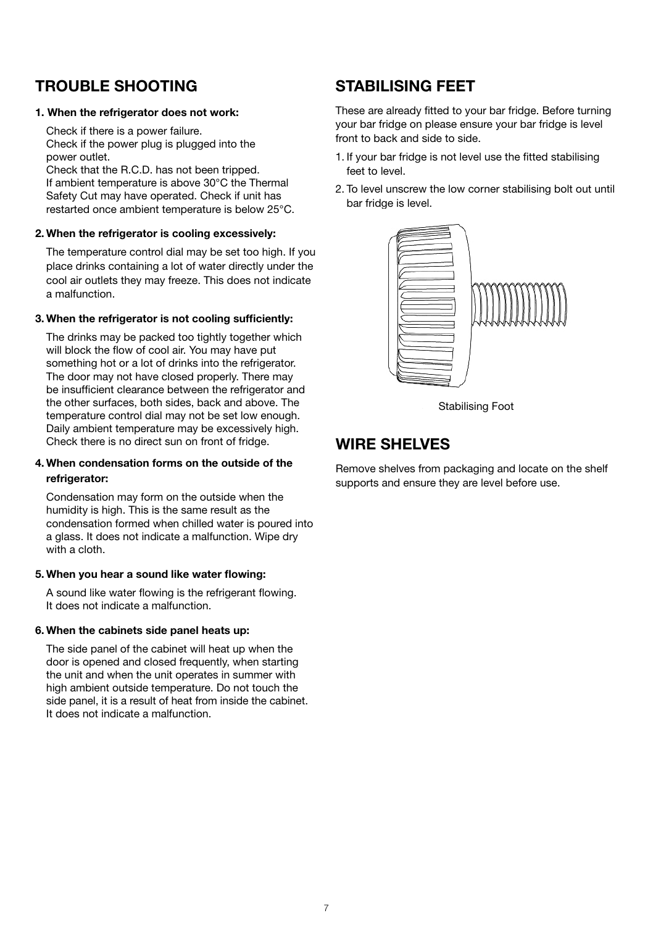#### **TROUBLE SHOOTING**

#### **1. When the refrigerator does not work:**

Check if there is a power failure. Check if the power plug is plugged into the power outlet.

Check that the R.C.D. has not been tripped. If ambient temperature is above 30°C the Thermal Safety Cut may have operated. Check if unit has restarted once ambient temperature is below 25°C.

#### **2. When the refrigerator is cooling excessively:**

The temperature control dial may be set too high. If you place drinks containing a lot of water directly under the cool air outlets they may freeze. This does not indicate a malfunction.

#### **3. When the refrigerator is not cooling sufficiently:**

The drinks may be packed too tightly together which will block the flow of cool air. You may have put something hot or a lot of drinks into the refrigerator. The door may not have closed properly. There may be insufficient clearance between the refrigerator and the other surfaces, both sides, back and above. The temperature control dial may not be set low enough. Daily ambient temperature may be excessively high. Check there is no direct sun on front of fridge.

#### **4. When condensation forms on the outside of the refrigerator:**

Condensation may form on the outside when the humidity is high. This is the same result as the condensation formed when chilled water is poured into a glass. It does not indicate a malfunction. Wipe dry with a cloth.

#### **5. When you hear a sound like water flowing:**

A sound like water flowing is the refrigerant flowing. It does not indicate a malfunction.

#### **6. When the cabinets side panel heats up:**

The side panel of the cabinet will heat up when the door is opened and closed frequently, when starting the unit and when the unit operates in summer with high ambient outside temperature. Do not touch the side panel, it is a result of heat from inside the cabinet. It does not indicate a malfunction.

### **STABILISING FEET**

These are already fitted to your bar fridge. Before turning your bar fridge on please ensure your bar fridge is level front to back and side to side.

- 1. If your bar fridge is not level use the fitted stabilising feet to level.
- 2. To level unscrew the low corner stabilising bolt out until bar fridge is level.



Stabilising Foot

#### **WIRE SHELVES**

Remove shelves from packaging and locate on the shelf supports and ensure they are level before use.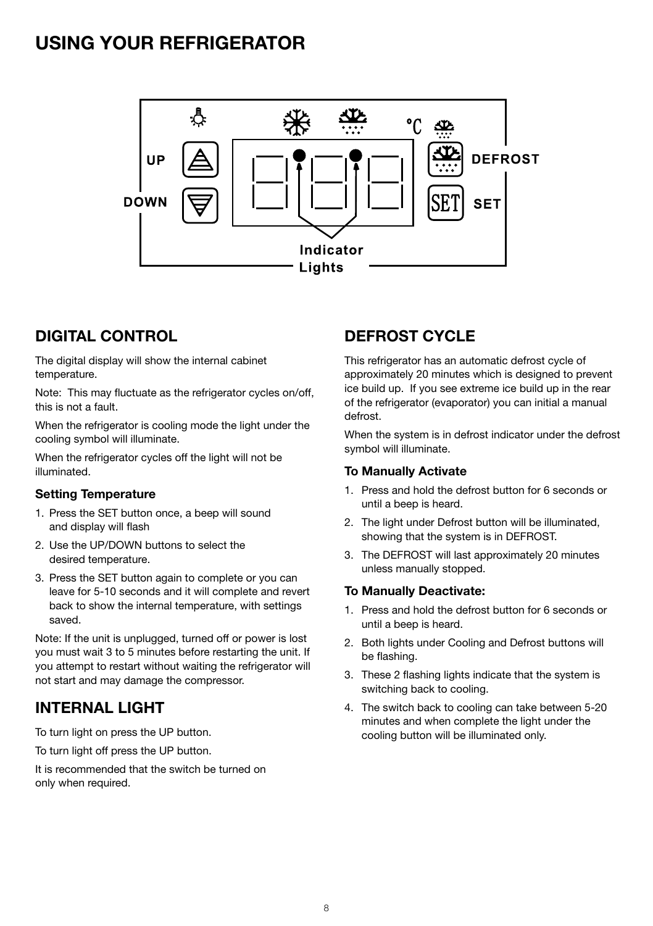### **USING YOUR REFRIGERATOR**



### **DIGITAL CONTROL**

The digital display will show the internal cabinet temperature.

Note: This may fluctuate as the refrigerator cycles on/off, this is not a fault.

When the refrigerator is cooling mode the light under the cooling symbol will illuminate.

When the refrigerator cycles off the light will not be illuminated.

#### **Setting Temperature**

- 1. Press the SET button once, a beep will sound and display will flash
- 2. Use the UP/DOWN buttons to select the desired temperature.
- 3. Press the SET button again to complete or you can leave for 5-10 seconds and it will complete and revert back to show the internal temperature, with settings saved.

Note: If the unit is unplugged, turned off or power is lost you must wait 3 to 5 minutes before restarting the unit. If you attempt to restart without waiting the refrigerator will not start and may damage the compressor.

### **INTERNAL LIGHT**

To turn light on press the UP button.

To turn light off press the UP button.

It is recommended that the switch be turned on only when required.

### **DEFROST CYCLE**

This refrigerator has an automatic defrost cycle of approximately 20 minutes which is designed to prevent ice build up. If you see extreme ice build up in the rear of the refrigerator (evaporator) you can initial a manual defrost.

When the system is in defrost indicator under the defrost symbol will illuminate.

#### **To Manually Activate**

- 1. Press and hold the defrost button for 6 seconds or until a beep is heard.
- 2. The light under Defrost button will be illuminated. showing that the system is in DEFROST.
- 3. The DEFROST will last approximately 20 minutes unless manually stopped.

#### **To Manually Deactivate:**

- 1. Press and hold the defrost button for 6 seconds or until a beep is heard.
- 2. Both lights under Cooling and Defrost buttons will be flashing.
- 3. These 2 flashing lights indicate that the system is switching back to cooling.
- 4. The switch back to cooling can take between 5-20 minutes and when complete the light under the cooling button will be illuminated only.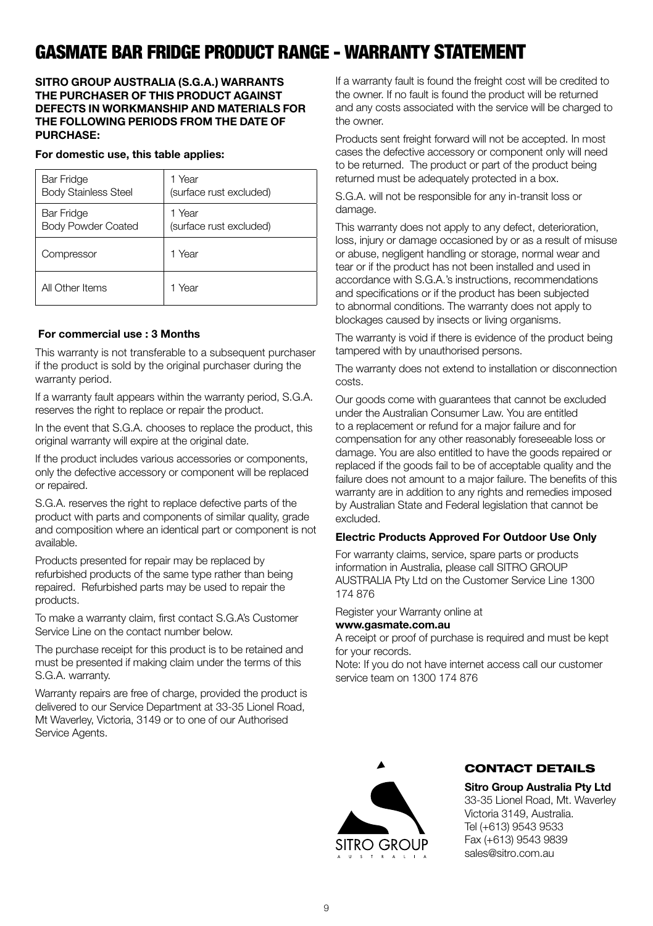### GASMATE BAR FRIDGE PRODUCT RANGE - WARRANTY STATEMENT

#### **SITRO GROUP AUSTRALIA (S.G.A.) WARRANTS THE PURCHASER OF THIS PRODUCT AGAINST DEFECTS IN WORKMANSHIP AND MATERIALS FOR THE FOLLOWING PERIODS FROM THE DATE OF PURCHASE:**

#### **For domestic use, this table applies:**

| <b>Bar Fridge</b>           | 1 Year                  |
|-----------------------------|-------------------------|
| <b>Body Stainless Steel</b> | (surface rust excluded) |
| <b>Bar Fridge</b>           | 1 Year                  |
| <b>Body Powder Coated</b>   | (surface rust excluded) |
| Compressor                  | 1 Year                  |
| All Other Items             | 1 Year                  |

#### **For commercial use : 3 Months**

This warranty is not transferable to a subsequent purchaser if the product is sold by the original purchaser during the warranty period

If a warranty fault appears within the warranty period, S.G.A. reserves the right to replace or repair the product.

In the event that S.G.A. chooses to replace the product, this original warranty will expire at the original date.

If the product includes various accessories or components, only the defective accessory or component will be replaced or repaired.

S.G.A. reserves the right to replace defective parts of the product with parts and components of similar quality, grade and composition where an identical part or component is not available.

Products presented for repair may be replaced by refurbished products of the same type rather than being repaired. Refurbished parts may be used to repair the products.

To make a warranty claim, first contact S.G.A's Customer Service Line on the contact number below.

The purchase receipt for this product is to be retained and must be presented if making claim under the terms of this S.G.A. warranty.

Warranty repairs are free of charge, provided the product is delivered to our Service Department at 33-35 Lionel Road, Mt Waverley, Victoria, 3149 or to one of our Authorised Service Agents.

If a warranty fault is found the freight cost will be credited to the owner. If no fault is found the product will be returned and any costs associated with the service will be charged to the owner.

Products sent freight forward will not be accepted. In most cases the defective accessory or component only will need to be returned. The product or part of the product being returned must be adequately protected in a box.

S.G.A. will not be responsible for any in-transit loss or damage.

This warranty does not apply to any defect, deterioration, loss, injury or damage occasioned by or as a result of misuse or abuse, negligent handling or storage, normal wear and tear or if the product has not been installed and used in accordance with S.G.A.'s instructions, recommendations and specifications or if the product has been subjected to abnormal conditions. The warranty does not apply to blockages caused by insects or living organisms.

The warranty is void if there is evidence of the product being tampered with by unauthorised persons.

The warranty does not extend to installation or disconnection costs.

Our goods come with guarantees that cannot be excluded under the Australian Consumer Law. You are entitled to a replacement or refund for a major failure and for compensation for any other reasonably foreseeable loss or damage. You are also entitled to have the goods repaired or replaced if the goods fail to be of acceptable quality and the failure does not amount to a major failure. The benefits of this warranty are in addition to any rights and remedies imposed by Australian State and Federal legislation that cannot be excluded.

#### **Electric Products Approved For Outdoor Use Only**

For warranty claims, service, spare parts or products information in Australia, please call SITRO GROUP AUSTRALIA Pty Ltd on the Customer Service Line 1300 174 876

Register your Warranty online at

#### **www.gasmate.com.au**

A receipt or proof of purchase is required and must be kept for your records.

Note: If you do not have internet access call our customer service team on 1300 174 876



#### CONTACT DETAILS

**Sitro Group Australia Pty Ltd** 33-35 Lionel Road, Mt. Waverley Victoria 3149, Australia. Tel (+613) 9543 9533 Fax (+613) 9543 9839 sales@sitro.com.au